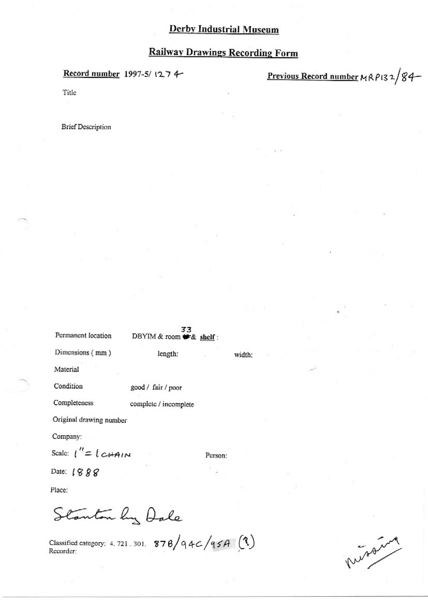#### **Railway Drawings Recording Form**

#### Record number 1997-5/1274

Previous Record number MRP132/84

Title

**Brief Description** 

| Permanent location                    | 33<br>DBYIM & room # & shelf: |         |        |
|---------------------------------------|-------------------------------|---------|--------|
| Dimensions (mm)                       | length:                       |         | width: |
| Material                              |                               |         |        |
| Condition                             | good / fair / poor            |         |        |
| Completeness                          | complete / incomplete         |         |        |
| Original drawing number               |                               |         |        |
| Company:                              |                               |         |        |
| Scale: $1'' = 1 c \overrightarrow{a}$ |                               | Person: |        |
| Date: 1888                            |                               |         |        |
| Place:                                |                               |         |        |
|                                       | anton by Dale                 |         |        |

Classified category: 4.721.301. 878/94C/95A  $(3)$ <br>Recorder:

propaire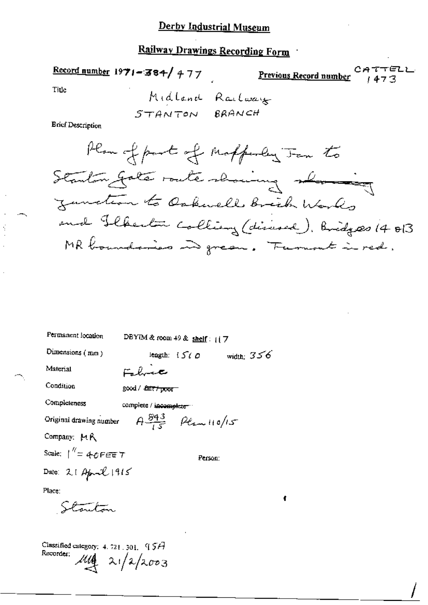# Railway Drawings Recording Form

Record number  $1971 - 384 / 477$ 

C المستجمع المستجمع المستجمع المستجمع المستجمع المستجمع المستجمع المستجمع المستجمع ነገግሮ<br>1473

TELL

Title

Š

Midland Railway

**Ericf Description** 

Denmarkson, Edward

¢

| теливлени юсанов                                                             | DBYTM & room 49 & shelf: $(7$ |                                 |              |
|------------------------------------------------------------------------------|-------------------------------|---------------------------------|--------------|
| Dimensions (mm)                                                              |                               | length: $\{S \in \mathcal{O}\}$ | width: $356$ |
| Material                                                                     | Fabric                        |                                 |              |
| Condition                                                                    | good / <i>fait / poor</i>     |                                 |              |
| Completeness                                                                 | complete / incomplete "       |                                 |              |
| Original drawing number $A \frac{843}{15}$ $\beta \ell_{\text{max}} + 10/15$ |                               |                                 |              |
| Company: MR                                                                  |                               |                                 |              |
| Scale: $\int^{\eta} = 40$ PEE T                                              |                               | Person:                         |              |
| Date: 21 April 1915                                                          |                               |                                 |              |
| Place:                                                                       |                               |                                 |              |
| Stouton                                                                      |                               |                                 |              |

Classified category:  $4.721.301.957$ Recorder:  $\frac{144}{2}$  21/2/2003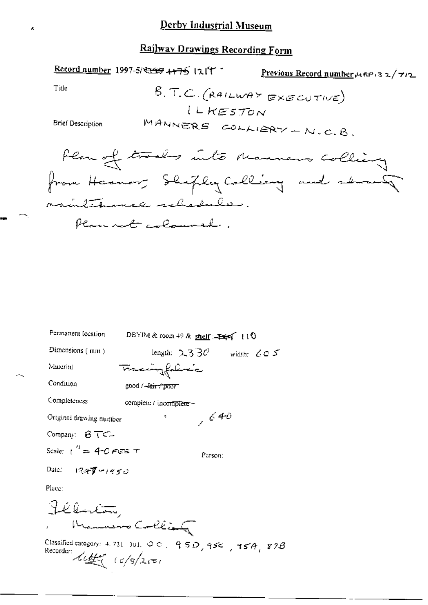#### **Railway Drawings Recording Form**

Record number 1997-5/ 2009 4475 1217 Previous Record number ARP 32/712 Title B.T.C. (RAILWAY EXECUTIVE) LLKESTON MANNERS COLLIERY - N.C.B. **Brief Description** Flam of trades into manners colling from Hermon; Shipley Colling and shown maintenance schedules. Plannet coloured.

| Permanent location                                                            | DBYIM & room 49 & shelf : $\Rightarrow$ (10)                               |
|-------------------------------------------------------------------------------|----------------------------------------------------------------------------|
| Dimensions (mm)                                                               | length: $2330$<br>width: $605$                                             |
| Material                                                                      | Francingfolivaic                                                           |
| Condition                                                                     | good / <del>-fair / poor</del>                                             |
| Completeness                                                                  | complete / incomplete ~                                                    |
| Original drawing number                                                       | ,640                                                                       |
| Company: $BTC$                                                                |                                                                            |
| Scale: $1^{4} = 4$ -O FEE T                                                   | Purson:                                                                    |
| Date: $1949 - 1950$                                                           |                                                                            |
| Place:                                                                        |                                                                            |
| Félución                                                                      |                                                                            |
|                                                                               | Hammers Collian                                                            |
| Recorder: $\mathcal{L}\mathcal{L}\mathcal{L}(-\epsilon/2)\mathcal{L}\epsilon$ | Classified category: 4.731-301. $\circ \circ$ , 95D, 95 $\circ$ , 95A, 87B |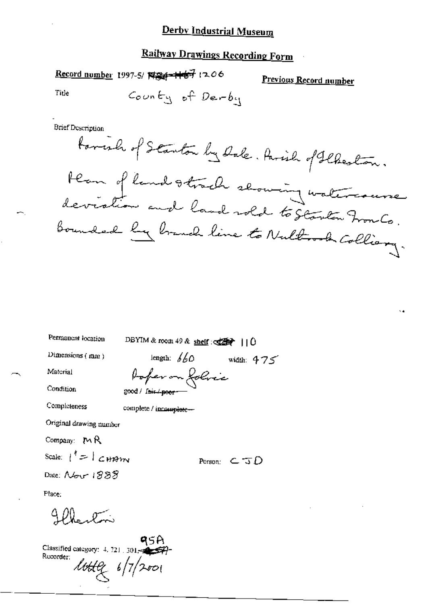#### **Railway Drawings Recording Form**

Record number 1997-5/ N24-167 1206

Previous Record number

Title

County of Derby

**Brief Description** 

formel of Stanton by Dale. Parish of Flaston. Hern of land strach slowing watercourse<br>deviation and land rold to Starten Fronto.<br>Bounded by branch line to Nultrock Colliany.

| Permanent location                     | DBYIM & room 49 & shelf: $\frac{d^2}{dx^2}$     0 |                                |  |
|----------------------------------------|---------------------------------------------------|--------------------------------|--|
| Dimensions (mm)                        | length: $660$                                     | width: $475$                   |  |
| Material                               |                                                   |                                |  |
| Condition                              | Poper on folice                                   |                                |  |
| Completeness                           | complete / incomplete-                            |                                |  |
| Original drawing mumber                |                                                   |                                |  |
| Company: $M$ R                         |                                                   |                                |  |
| Scale: $\vert \ ^{n}$ = $\vert$ c HAIM |                                                   | Person: $\subset \mathcal{ID}$ |  |
| Date: Nov 1888                         |                                                   |                                |  |
| Place:                                 |                                                   |                                |  |

 $400$ 

95B I<br>Classified category:  $4, 721, 301$ Recorder:  $10.119$   $6/7/2001$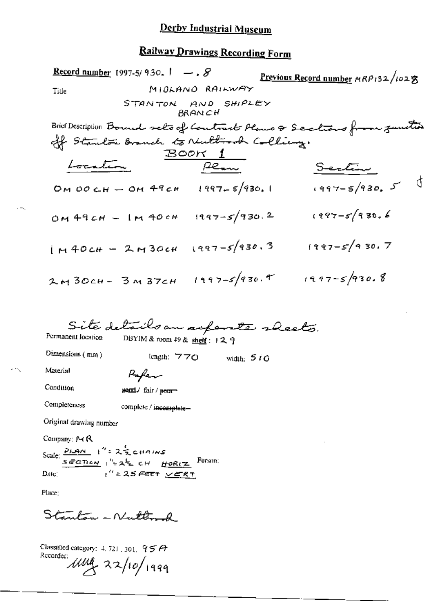# Railway Drawings Recording Form

| <b>Record number</b> 1997-5/930. $\mathbf{I} \rightarrow \mathcal{S}$ |                              |                                  |              | Previous Record number MRP132/102 文                                   |
|-----------------------------------------------------------------------|------------------------------|----------------------------------|--------------|-----------------------------------------------------------------------|
| Tille                                                                 |                              | MIOLANO RAILWAY                  |              |                                                                       |
|                                                                       |                              | STANTON AND SHIPLEY<br>BRAN CH   |              |                                                                       |
|                                                                       |                              |                                  |              | Brier Description Bound sels of Contract Plans & Sections from zuntis |
| off Standon Branch to Nullmork Collings                               |                              |                                  |              |                                                                       |
|                                                                       |                              | <u>BOOK 1</u>                    |              |                                                                       |
| Location                                                              |                              | $P_{\text{max}}$                 |              | Section                                                               |
|                                                                       |                              | OM OO CH - OM 49 CH 1997-5/930.1 |              | $1997 - 5/930.5$                                                      |
| OM 49 CH - IM 40 CH 1997-5/930.2                                      |                              |                                  |              | $1997 - 5/930.6$                                                      |
| $1M40cH - 2M30cH$ $1997-5/930.3$                                      |                              |                                  |              | $(997 - 5)$ 9 30. 7                                                   |
| 2м 30сн - 3м 37сн                                                     |                              | $1997 - 5/930.9$                 |              | $1997 - 5930.8$                                                       |
| Permanent location                                                    | DBYIM & room 49 & shelf: 129 | Site details an acpente rheets.  |              |                                                                       |
| Dimensions (mm)                                                       | length: 770                  |                                  | width: $510$ |                                                                       |
| Material                                                              | Kafer                        |                                  |              |                                                                       |
| Condition                                                             | send/fair/peor               |                                  |              |                                                                       |
| Completeness                                                          | complete / incomplete-       |                                  |              |                                                                       |
| Original drawing number                                               |                              |                                  |              |                                                                       |
| Company: $M$ R                                                        |                              |                                  |              |                                                                       |
| Scale: $\frac{\rho_{LAN}}{SEDnew}$ $t'' = 2\frac{L}{2}$ chains        |                              | Person:                          |              |                                                                       |

 $t''$  = 25 FEET  $\underline{\vee}$  ERT Date:

Place;

 $\cdot -$ 

k mg

Stanton - Nutter &

Classified category: 4, 721, 301,  $95A$ Recorder una 22/10/1999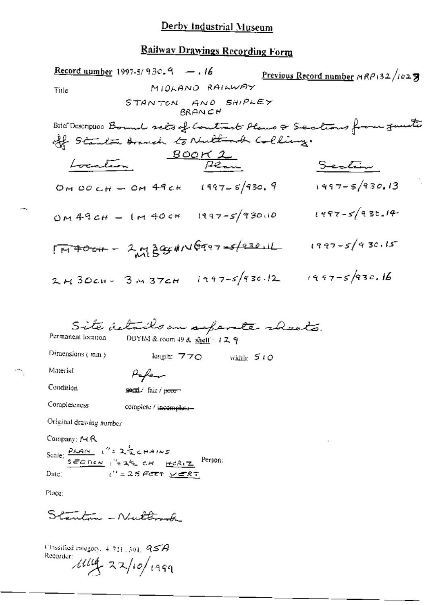# Railway Drawings Recording Form

|                                                                                   | Record upmber 1997-5/930.9 - 16                                 |                                |              | Previous Record number MRP132/1027                                    |
|-----------------------------------------------------------------------------------|-----------------------------------------------------------------|--------------------------------|--------------|-----------------------------------------------------------------------|
| Tirle                                                                             |                                                                 | MIDLAND RAILWAY                |              |                                                                       |
|                                                                                   |                                                                 | STANTON AND SHIPLEY<br>BRAN CH |              |                                                                       |
|                                                                                   |                                                                 |                                |              | Brief Description Bound sets of Contract Plans & Sections from Junite |
|                                                                                   | off Starten Branch to Nulling.                                  |                                |              |                                                                       |
|                                                                                   |                                                                 | $rac{BOCK}{P_{\text{max}}}$    |              |                                                                       |
| Location                                                                          |                                                                 |                                |              | <u>Section</u>                                                        |
|                                                                                   | OM OO CH - OM 49 CH 1997-5/930.9                                |                                |              | $1997 - 5/930.13$                                                     |
|                                                                                   | OM 49 CH - IM 40 CH 1997-5/930.10                               |                                |              | $1987 - 5/930.14$                                                     |
|                                                                                   | $17400 + 2228$                                                  |                                |              | $1997 - 5/930.15$                                                     |
| $2.430cm - 3.437cm$                                                               |                                                                 | $i + 97 - 5/930.12$            |              | $1997 - 593c.16$                                                      |
| Permanent location                                                                | Site details an aspente sheets.<br>DBYIM & room 49 & shelf: 129 |                                |              |                                                                       |
| Dimensions (mm)                                                                   | leagh: 770                                                      |                                | width: $510$ |                                                                       |
| Material                                                                          | Kafeen                                                          |                                |              |                                                                       |
| Condition                                                                         | year fair / poor                                                |                                |              |                                                                       |
| Completeness                                                                      | complete / incomplete-                                          |                                |              |                                                                       |
| Original drawing number                                                           |                                                                 |                                |              |                                                                       |
| Company: 14 R                                                                     |                                                                 |                                |              |                                                                       |
| Scale: $\frac{P_{\mathcal{L}AN}}{P_{\mathcal{L}IN}}$ $v'' = 2\frac{1}{2}$ c HAINS |                                                                 |                                |              |                                                                       |

 $\frac{1}{\sqrt{2}}$  SECTION  $\frac{1}{2}$  (  $\frac{1}{2}$  CH  $\frac{1}{2}$  CA  $\frac{1}{2}$  Person:  $\frac{1}{1}$  = 25 FEET  $\sqrt{25}$ Date:

Place:

 $\tilde{\mathbb{R}}_q$ 

Stanton - Nutterok

Classified entegory,  $4.731$ ,  $301$ ,  $957$ Recorder  $1114 - 22/10/1999$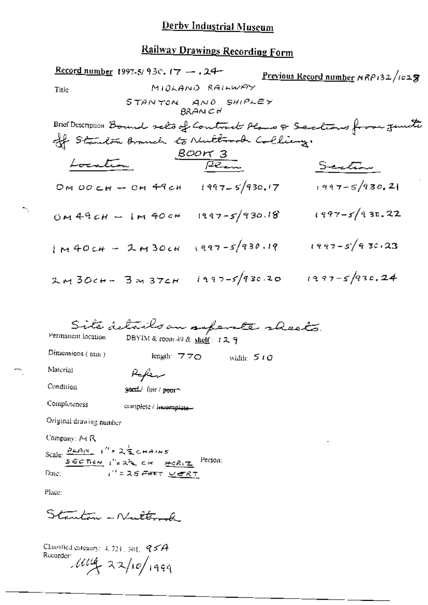# Railway Drawings Recording Form

|                                                              | Record number 1997-5/930, 17 $-$ . 24-                           |                                 | Previous Record number NRP132/1028                                    |
|--------------------------------------------------------------|------------------------------------------------------------------|---------------------------------|-----------------------------------------------------------------------|
| Title                                                        |                                                                  | MIOLANO RAILWAY                 |                                                                       |
|                                                              |                                                                  | STANTON AND SHIPLEY<br>BRAN C H |                                                                       |
|                                                              |                                                                  |                                 | Brief Description Bound selo of Contract Plans & Sections from junite |
|                                                              | off Standon Branch to Nuttorod Colling.                          |                                 |                                                                       |
|                                                              |                                                                  | $rac{BOM3}{P_{env}}$            |                                                                       |
| Location                                                     |                                                                  |                                 | Scation                                                               |
|                                                              | OM OO CH - OH 49 CH = 1997-5/930.17                              |                                 | $1997 - 5/930.21$                                                     |
|                                                              | $OM49CH - IM40CH - 1997-S/930.18$                                |                                 | $1997 - 5/930.22$                                                     |
| $1M40cH - 2M30cH$                                            |                                                                  | $1997 - 5/930.19$               | $(997 - 5)$ 9 30.23                                                   |
| 2м 30сн- 3м з7сн                                             |                                                                  | $1997 - 5/930.20$               | $1997 - 5/93c.24$                                                     |
| Permanent location                                           | Site details an separate sheets.<br>DBYIM& room 49 & shelf: 12 9 |                                 |                                                                       |
| Dimensions (mm)                                              | length: $770$                                                    | width: $510$                    |                                                                       |
| Material                                                     | سينطهط                                                           |                                 |                                                                       |
| Condition                                                    | geord fair / poorn                                               |                                 |                                                                       |
| Completeness                                                 | complete / incomplete-                                           |                                 |                                                                       |
| Original drawing nunder                                      |                                                                  |                                 |                                                                       |
| Company: 14 R                                                |                                                                  |                                 |                                                                       |
| Scale: $\frac{\rho_{kA N}}{N}$ $1''$ = $2\frac{1}{2}$ chains |                                                                  |                                 |                                                                       |
| Date:                                                        | SECTION I'LE ALE CH HORIZ<br>I''= 25 FEET <u>verr</u>            | Person:                         |                                                                       |
| Place:                                                       |                                                                  |                                 |                                                                       |

Stanton - Nutterode

÷,

Classified category:  $4, 724, 301, 9574$ Recorder  $1114 - 22/10/1999$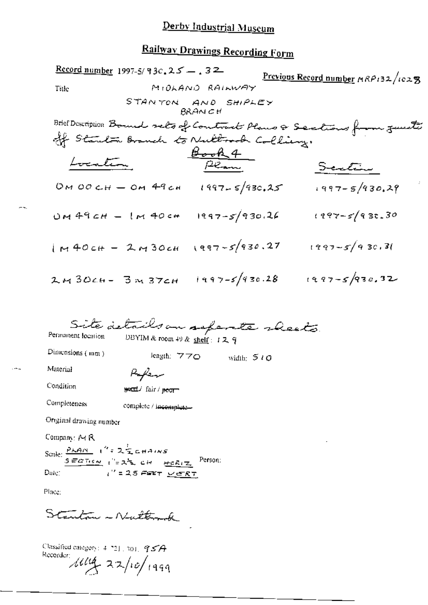### **Railway Drawings Recording Form**

<u>Record number</u> 1997-5/93c,  $25 - 32$ Previous Record number MRP132/1028 MIOLAND RAILWAY Title STANTON AND SHIPLEY **BRANCH** Brief Description Bound sels of Contracts Plans & Sections from junits off Starten Branch to Nultrock Colling. <u>bocation</u> Book4 Scattin OM OO CH - OM 49 CH 1997-5/930.25  $1997 - 5/930.29$ UM 49 CH - IM 40 CH 1997-5/930.26 1997-5/930.30  $1 + 40cH - 2 + 30cH$   $(997 - 5/930.27$   $(997 - 5/930.36)$ 2M30CH- 3M37CH 1997-5/930.28 1997-5/930.32 Site details on seferate sheets Permanent location DBYIM & room 49 & shelf: 129 Dimensions  $(mn)$ length:  $770$  width:  $510$ Material  $P$ afran Condition secut/ fair/ pecr-Completeness complete / incomplete-Original drawing number Company: Pt R Scale:  $\frac{P_{\mathcal{A},\mathcal{A},\mathcal{N}}}{S_{\mathcal{A},\mathcal{B},\mathcal{C}}}\cdot \int_{0}^{0} z \mathcal{A}_{\mathcal{A},\mathcal{C},\mathcal{C}}^{T} \mathcal{A}_{\mathcal{A},\mathcal{C},\mathcal{C}}$   $\mathcal{A}_{\mathcal{A},\mathcal{C},\mathcal{C},\mathcal{C}}^{T}$  Person:  $t''$  = 25 Fer  $v$  er R  $\tau$ Date:

Place:

Stanton - Nuttorak

Classified category:  $4.7211301.9574$ Recorder:  $\mu u_4$  22/10/1999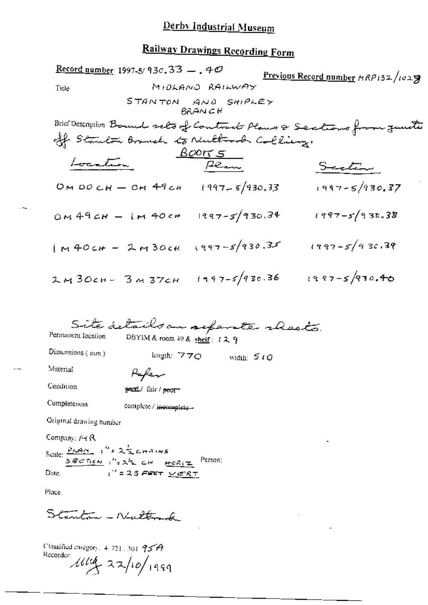#### **Railway Drawings Recording Form**

<u>Record number</u> 1997-5/93c, 33  $-$ , 40 Previous Record number  $MRP_{132}/log 2$ MIDLAND RAILWAY Title STANTON AND SHIPLEY **BRANCH** Brief Description Bound sets of Contract Plans & Sections from junita off Stanlow Branch to Nultrook Colling.  $\frac{\text{Born}5}{\text{Pear}}$ Location Section OM DO CH - OM 49 CH 1997-5/930.33  $1997 - 5/930.37$ OM 49CH - IM 40CH 1997-5/930.34 1997-5/930.38  $1 \times 40$ cH - 2 M 30cH (997-5/930.35 1997-5/930.39 2M30ch- 3M37ch 1997-5/930.36 1997-5/930.40 Site details an aspente rheats. Permanent location DBYIM & room 49 & shelf: 129 Dimensions (nun.) length:  $770$  width:  $510$ Material Paper Condition geod/ fair / peor Completeness complete / incomplete -Original drawing number Company: Pt R Scale:  $\frac{P(A|N)}{SEDI(C|N)}$ , "=  $2\frac{1}{2}$  c H  $HCl(X)$  Person:

 $t^{\prime\prime}$  = 25 Feet <u>verk</u>t Date, i

Place.

Stanton - Nuttond

Classified entegory,  $4.721$ , 301  $95A$ Recorder:  $\mu u_1 = 22/10/1999$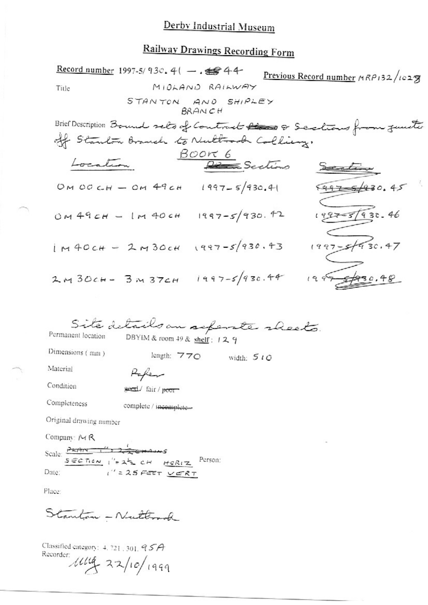# **Railway Drawings Recording Form**

|                                                                  | Record number 1997-5/930. 41 - . \$ 44  |                  | Previous Record number MRP132/1028                                    |
|------------------------------------------------------------------|-----------------------------------------|------------------|-----------------------------------------------------------------------|
| Title                                                            |                                         | MIDLAND RAILWAY  |                                                                       |
|                                                                  | STANTON AND SHIPLEY                     | <b>BRANCH</b>    |                                                                       |
|                                                                  |                                         |                  | Brief Description Bound sets of Contract Rises & Sections from Junite |
|                                                                  | off Stanlow Branch to Nultrook Colling. |                  |                                                                       |
|                                                                  |                                         | Book 6           |                                                                       |
|                                                                  |                                         | Partino          | Section                                                               |
|                                                                  | OM OO CH - OM 49 CH 1997-5/930.41       |                  | $697 - 6/930.45$                                                      |
|                                                                  | $OM49CH - IM40CH 1997-S/930.42$         |                  | $1997 - 57930.46$                                                     |
|                                                                  | $1M40cH - 2M30cH$ $1997-5/930.43$       |                  | $1997 - 57930.47$                                                     |
| 2M30cH - 3M37cH                                                  |                                         | $1997 - 593c.44$ | 1995980.48                                                            |
|                                                                  |                                         |                  |                                                                       |
|                                                                  | Site details an separate rheets.        |                  |                                                                       |
| Permanent location                                               | DBYIM & room 49 & shelf: $129$          |                  |                                                                       |
| Dimensions (mm)                                                  | length: 770                             | width: $510$     |                                                                       |
| Material                                                         | Haken                                   |                  |                                                                       |
| Condition                                                        | secal/fair/poor                         |                  |                                                                       |
| Completeness                                                     | complete / incomplete-                  |                  |                                                                       |
| Original drawing number                                          |                                         |                  |                                                                       |
| Company: $M$ R                                                   |                                         |                  |                                                                       |
| Scale:                                                           |                                         | Person:          |                                                                       |
| $S \in C \cap c \times \sqrt{2} \times 2^{\frac{1}{2}}$<br>Date: | HCRIZ<br>$1''$ = 25 FEET $VERT$         |                  |                                                                       |
|                                                                  |                                         |                  |                                                                       |

Place:

Stanton - Nuttond

Classified category: 4.721.301.95A<br>Recorder:<br>  $16\sqrt{4\pi}$  22/10/1999